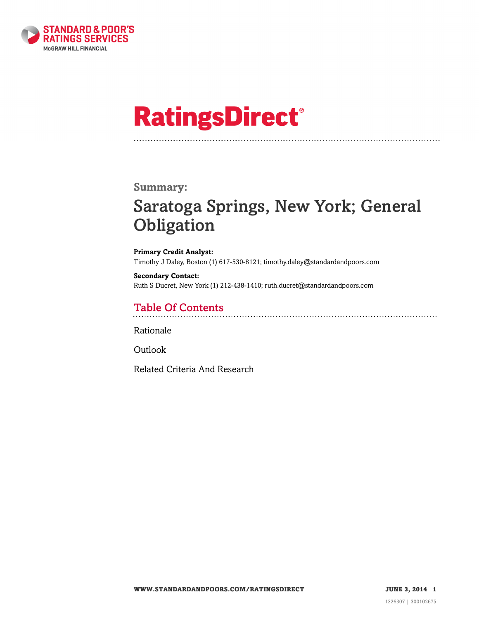

# **RatingsDirect®**

### **Summary:**

# Saratoga Springs, New York; General **Obligation**

**Primary Credit Analyst:** Timothy J Daley, Boston (1) 617-530-8121; timothy.daley@standardandpoors.com

**Secondary Contact:** Ruth S Ducret, New York (1) 212-438-1410; ruth.ducret@standardandpoors.com

# Table Of Contents

[Rationale](#page-1-0)

[Outlook](#page-3-0)

[Related Criteria And Research](#page-3-1)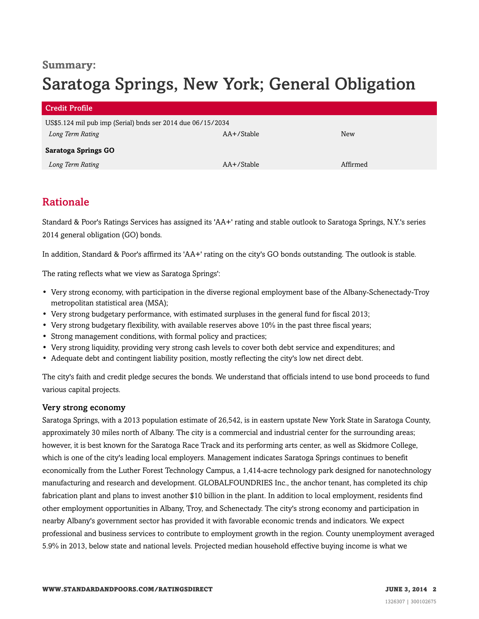### **Summary:**

# Saratoga Springs, New York; General Obligation

| <b>Credit Profile</b>                                       |            |          |
|-------------------------------------------------------------|------------|----------|
| US\$5.124 mil pub imp (Serial) bnds ser 2014 due 06/15/2034 |            |          |
| Long Term Rating                                            | AA+/Stable | New      |
| <b>Saratoga Springs GO</b>                                  |            |          |
| Long Term Rating                                            | AA+/Stable | Affirmed |

# <span id="page-1-0"></span>Rationale

Standard & Poor's Ratings Services has assigned its 'AA+' rating and stable outlook to Saratoga Springs, N.Y.'s series 2014 general obligation (GO) bonds.

In addition, Standard & Poor's affirmed its 'AA+' rating on the city's GO bonds outstanding. The outlook is stable.

The rating reflects what we view as Saratoga Springs':

- Very strong economy, with participation in the diverse regional employment base of the Albany-Schenectady-Troy metropolitan statistical area (MSA);
- Very strong budgetary performance, with estimated surpluses in the general fund for fiscal 2013;
- Very strong budgetary flexibility, with available reserves above 10% in the past three fiscal years;
- Strong management conditions, with formal policy and practices;
- Very strong liquidity, providing very strong cash levels to cover both debt service and expenditures; and
- Adequate debt and contingent liability position, mostly reflecting the city's low net direct debt.

The city's faith and credit pledge secures the bonds. We understand that officials intend to use bond proceeds to fund various capital projects.

#### Very strong economy

Saratoga Springs, with a 2013 population estimate of 26,542, is in eastern upstate New York State in Saratoga County, approximately 30 miles north of Albany. The city is a commercial and industrial center for the surrounding areas; however, it is best known for the Saratoga Race Track and its performing arts center, as well as Skidmore College, which is one of the city's leading local employers. Management indicates Saratoga Springs continues to benefit economically from the Luther Forest Technology Campus, a 1,414-acre technology park designed for nanotechnology manufacturing and research and development. GLOBALFOUNDRIES Inc., the anchor tenant, has completed its chip fabrication plant and plans to invest another \$10 billion in the plant. In addition to local employment, residents find other employment opportunities in Albany, Troy, and Schenectady. The city's strong economy and participation in nearby Albany's government sector has provided it with favorable economic trends and indicators. We expect professional and business services to contribute to employment growth in the region. County unemployment averaged 5.9% in 2013, below state and national levels. Projected median household effective buying income is what we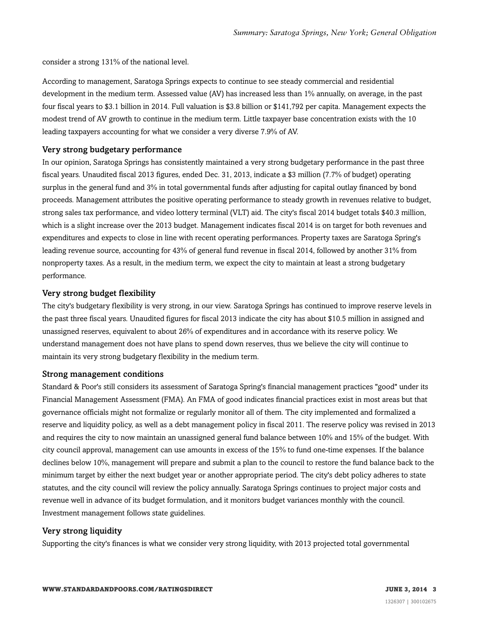consider a strong 131% of the national level.

According to management, Saratoga Springs expects to continue to see steady commercial and residential development in the medium term. Assessed value (AV) has increased less than 1% annually, on average, in the past four fiscal years to \$3.1 billion in 2014. Full valuation is \$3.8 billion or \$141,792 per capita. Management expects the modest trend of AV growth to continue in the medium term. Little taxpayer base concentration exists with the 10 leading taxpayers accounting for what we consider a very diverse 7.9% of AV.

#### Very strong budgetary performance

In our opinion, Saratoga Springs has consistently maintained a very strong budgetary performance in the past three fiscal years. Unaudited fiscal 2013 figures, ended Dec. 31, 2013, indicate a \$3 million (7.7% of budget) operating surplus in the general fund and 3% in total governmental funds after adjusting for capital outlay financed by bond proceeds. Management attributes the positive operating performance to steady growth in revenues relative to budget, strong sales tax performance, and video lottery terminal (VLT) aid. The city's fiscal 2014 budget totals \$40.3 million, which is a slight increase over the 2013 budget. Management indicates fiscal 2014 is on target for both revenues and expenditures and expects to close in line with recent operating performances. Property taxes are Saratoga Spring's leading revenue source, accounting for 43% of general fund revenue in fiscal 2014, followed by another 31% from nonproperty taxes. As a result, in the medium term, we expect the city to maintain at least a strong budgetary performance.

#### Very strong budget flexibility

The city's budgetary flexibility is very strong, in our view. Saratoga Springs has continued to improve reserve levels in the past three fiscal years. Unaudited figures for fiscal 2013 indicate the city has about \$10.5 million in assigned and unassigned reserves, equivalent to about 26% of expenditures and in accordance with its reserve policy. We understand management does not have plans to spend down reserves, thus we believe the city will continue to maintain its very strong budgetary flexibility in the medium term.

#### Strong management conditions

Standard & Poor's still considers its assessment of Saratoga Spring's financial management practices "good" under its Financial Management Assessment (FMA). An FMA of good indicates financial practices exist in most areas but that governance officials might not formalize or regularly monitor all of them. The city implemented and formalized a reserve and liquidity policy, as well as a debt management policy in fiscal 2011. The reserve policy was revised in 2013 and requires the city to now maintain an unassigned general fund balance between 10% and 15% of the budget. With city council approval, management can use amounts in excess of the 15% to fund one-time expenses. If the balance declines below 10%, management will prepare and submit a plan to the council to restore the fund balance back to the minimum target by either the next budget year or another appropriate period. The city's debt policy adheres to state statutes, and the city council will review the policy annually. Saratoga Springs continues to project major costs and revenue well in advance of its budget formulation, and it monitors budget variances monthly with the council. Investment management follows state guidelines.

#### Very strong liquidity

Supporting the city's finances is what we consider very strong liquidity, with 2013 projected total governmental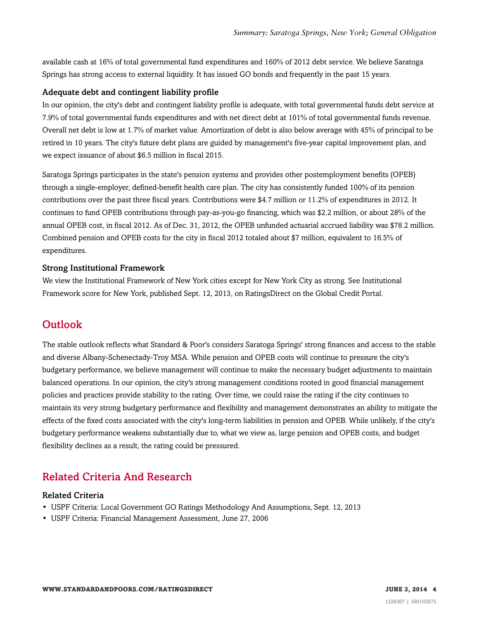available cash at 16% of total governmental fund expenditures and 160% of 2012 debt service. We believe Saratoga Springs has strong access to external liquidity. It has issued GO bonds and frequently in the past 15 years.

#### Adequate debt and contingent liability profile

In our opinion, the city's debt and contingent liability profile is adequate, with total governmental funds debt service at 7.9% of total governmental funds expenditures and with net direct debt at 101% of total governmental funds revenue. Overall net debt is low at 1.7% of market value. Amortization of debt is also below average with 45% of principal to be retired in 10 years. The city's future debt plans are guided by management's five-year capital improvement plan, and we expect issuance of about \$6.5 million in fiscal 2015.

Saratoga Springs participates in the state's pension systems and provides other postemployment benefits (OPEB) through a single-employer, defined-benefit health care plan. The city has consistently funded 100% of its pension contributions over the past three fiscal years. Contributions were \$4.7 million or 11.2% of expenditures in 2012. It continues to fund OPEB contributions through pay-as-you-go financing, which was \$2.2 million, or about 28% of the annual OPEB cost, in fiscal 2012. As of Dec. 31, 2012, the OPEB unfunded actuarial accrued liability was \$78.2 million. Combined pension and OPEB costs for the city in fiscal 2012 totaled about \$7 million, equivalent to 16.5% of expenditures.

#### Strong Institutional Framework

We view the Institutional Framework of New York cities except for New York City as strong. See Institutional Framework score for New York, published Sept. 12, 2013, on RatingsDirect on the Global Credit Portal.

## <span id="page-3-0"></span>**Outlook**

The stable outlook reflects what Standard & Poor's considers Saratoga Springs' strong finances and access to the stable and diverse Albany-Schenectady-Troy MSA. While pension and OPEB costs will continue to pressure the city's budgetary performance, we believe management will continue to make the necessary budget adjustments to maintain balanced operations. In our opinion, the city's strong management conditions rooted in good financial management policies and practices provide stability to the rating. Over time, we could raise the rating if the city continues to maintain its very strong budgetary performance and flexibility and management demonstrates an ability to mitigate the effects of the fixed costs associated with the city's long-term liabilities in pension and OPEB. While unlikely, if the city's budgetary performance weakens substantially due to, what we view as, large pension and OPEB costs, and budget flexibility declines as a result, the rating could be pressured.

# <span id="page-3-1"></span>Related Criteria And Research

#### Related Criteria

- USPF Criteria: Local Government GO Ratings Methodology And Assumptions, Sept. 12, 2013
- USPF Criteria: Financial Management Assessment, June 27, 2006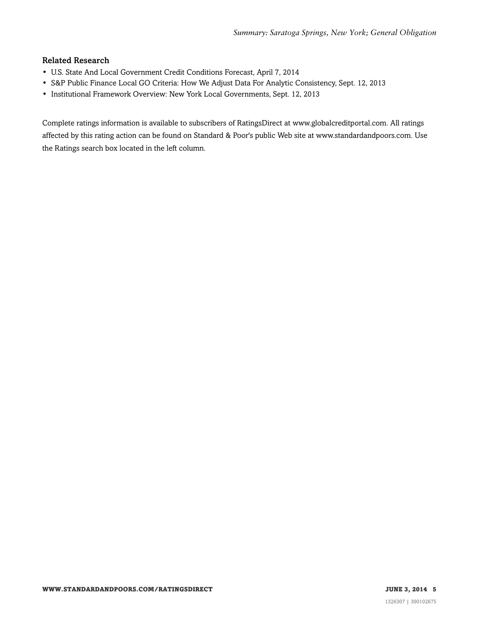#### Related Research

- U.S. State And Local Government Credit Conditions Forecast, April 7, 2014
- S&P Public Finance Local GO Criteria: How We Adjust Data For Analytic Consistency, Sept. 12, 2013
- Institutional Framework Overview: New York Local Governments, Sept. 12, 2013

Complete ratings information is available to subscribers of RatingsDirect at www.globalcreditportal.com. All ratings affected by this rating action can be found on Standard & Poor's public Web site at www.standardandpoors.com. Use the Ratings search box located in the left column.